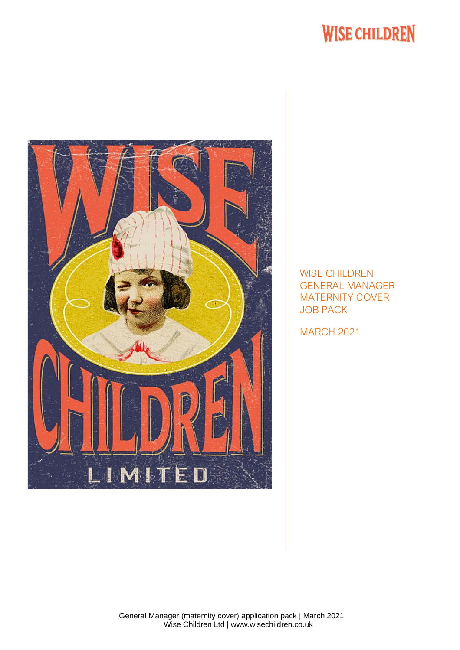# **WISE CHILDREN**



WISE CHILDREN GENERAL MANAGER MATERNITY COVER JOB PACK

MARCH 2021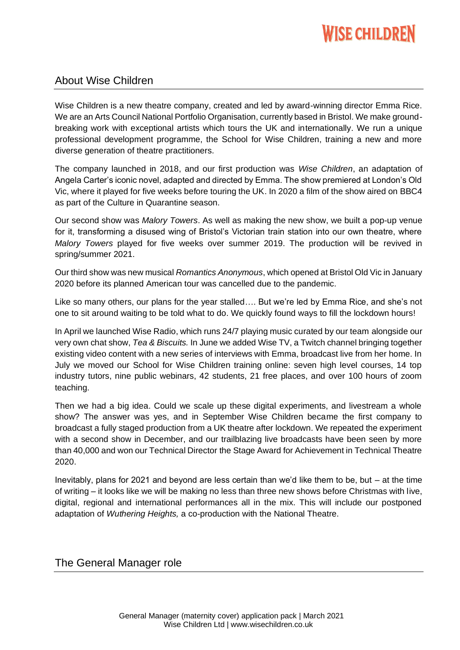

# About Wise Children

Wise Children is a new theatre company, created and led by award-winning director Emma Rice. We are an Arts Council National Portfolio Organisation, currently based in Bristol. We make groundbreaking work with exceptional artists which tours the UK and internationally. We run a unique professional development programme, the School for Wise Children, training a new and more diverse generation of theatre practitioners.

The company launched in 2018, and our first production was *Wise Children*, an adaptation of Angela Carter's iconic novel, adapted and directed by Emma. The show premiered at London's Old Vic, where it played for five weeks before touring the UK. In 2020 a film of the show aired on BBC4 as part of the Culture in Quarantine season.

Our second show was *Malory Towers*. As well as making the new show, we built a pop-up venue for it, transforming a disused wing of Bristol's Victorian train station into our own theatre, where *Malory Towers* played for five weeks over summer 2019. The production will be revived in spring/summer 2021.

Our third show was new musical *Romantics Anonymous*, which opened at Bristol Old Vic in January 2020 before its planned American tour was cancelled due to the pandemic.

Like so many others, our plans for the year stalled…. But we're led by Emma Rice, and she's not one to sit around waiting to be told what to do. We quickly found ways to fill the lockdown hours!

In April we launched Wise Radio, which runs 24/7 playing music curated by our team alongside our very own chat show, *Tea & Biscuits.* In June we added Wise TV, a Twitch channel bringing together existing video content with a new series of interviews with Emma, broadcast live from her home. In July we moved our School for Wise Children training online: seven high level courses, 14 top industry tutors, nine public webinars, 42 students, 21 free places, and over 100 hours of zoom teaching.

Then we had a big idea. Could we scale up these digital experiments, and livestream a whole show? The answer was yes, and in September Wise Children became the first company to broadcast a fully staged production from a UK theatre after lockdown. We repeated the experiment with a second show in December, and our trailblazing live broadcasts have been seen by more than 40,000 and won our Technical Director the Stage Award for Achievement in Technical Theatre 2020.

Inevitably, plans for 2021 and beyond are less certain than we'd like them to be, but – at the time of writing – it looks like we will be making no less than three new shows before Christmas with live, digital, regional and international performances all in the mix. This will include our postponed adaptation of *Wuthering Heights,* a co-production with the National Theatre.

## The General Manager role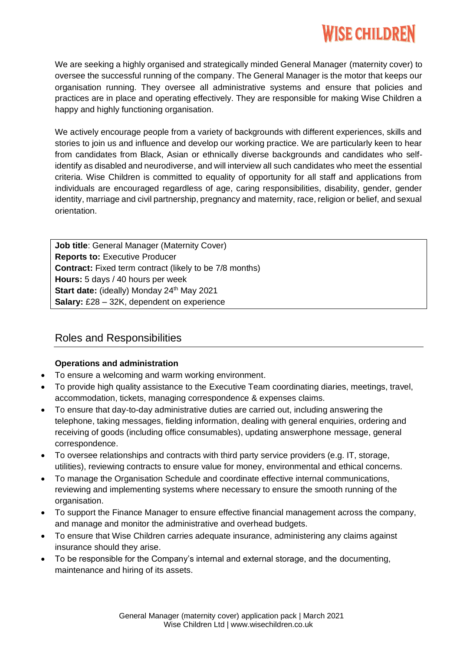# *MISE CHILDREN*

We are seeking a highly organised and strategically minded General Manager (maternity cover) to oversee the successful running of the company. The General Manager is the motor that keeps our organisation running. They oversee all administrative systems and ensure that policies and practices are in place and operating effectively. They are responsible for making Wise Children a happy and highly functioning organisation.

We actively encourage people from a variety of backgrounds with different experiences, skills and stories to join us and influence and develop our working practice. We are particularly keen to hear from candidates from Black, Asian or ethnically diverse backgrounds and candidates who selfidentify as disabled and neurodiverse, and will interview all such candidates who meet the essential criteria. Wise Children is committed to equality of opportunity for all staff and applications from individuals are encouraged regardless of age, caring responsibilities, disability, gender, gender identity, marriage and civil partnership, pregnancy and maternity, race, religion or belief, and sexual orientation.

**Job title**: General Manager (Maternity Cover) **Reports to:** Executive Producer **Contract:** Fixed term contract (likely to be 7/8 months) **Hours:** 5 days / 40 hours per week **Start date:** (ideally) Monday 24<sup>th</sup> May 2021 **Salary:** £28 – 32K, dependent on experience

# Roles and Responsibilities

## **Operations and administration**

- To ensure a welcoming and warm working environment.
- To provide high quality assistance to the Executive Team coordinating diaries, meetings, travel, accommodation, tickets, managing correspondence & expenses claims.
- To ensure that day-to-day administrative duties are carried out, including answering the telephone, taking messages, fielding information, dealing with general enquiries, ordering and receiving of goods (including office consumables), updating answerphone message, general correspondence.
- To oversee relationships and contracts with third party service providers (e.g. IT, storage, utilities), reviewing contracts to ensure value for money, environmental and ethical concerns.
- To manage the Organisation Schedule and coordinate effective internal communications, reviewing and implementing systems where necessary to ensure the smooth running of the organisation.
- To support the Finance Manager to ensure effective financial management across the company, and manage and monitor the administrative and overhead budgets.
- To ensure that Wise Children carries adequate insurance, administering any claims against insurance should they arise.
- To be responsible for the Company's internal and external storage, and the documenting, maintenance and hiring of its assets.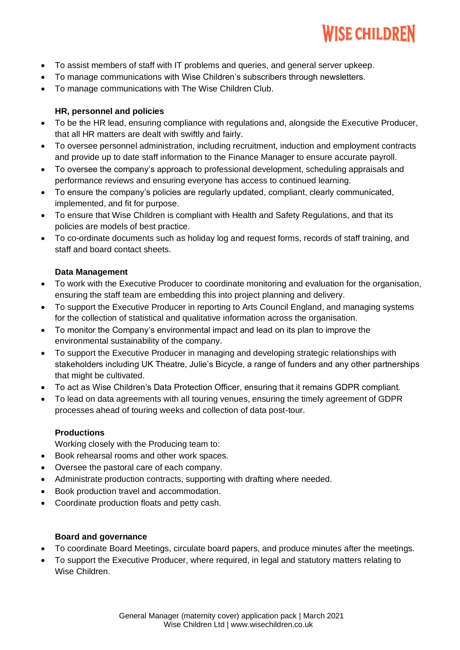

- To assist members of staff with IT problems and queries, and general server upkeep.
- To manage communications with Wise Children's subscribers through newsletters.
- To manage communications with The Wise Children Club.

### **HR, personnel and policies**

- To be the HR lead, ensuring compliance with regulations and, alongside the Executive Producer, that all HR matters are dealt with swiftly and fairly.
- To oversee personnel administration, including recruitment, induction and employment contracts and provide up to date staff information to the Finance Manager to ensure accurate payroll.
- To oversee the company's approach to professional development, scheduling appraisals and performance reviews and ensuring everyone has access to continued learning.
- To ensure the company's policies are regularly updated, compliant, clearly communicated, implemented, and fit for purpose.
- To ensure that Wise Children is compliant with Health and Safety Regulations, and that its policies are models of best practice.
- To co-ordinate documents such as holiday log and request forms, records of staff training, and staff and board contact sheets.

#### **Data Management**

- To work with the Executive Producer to coordinate monitoring and evaluation for the organisation, ensuring the staff team are embedding this into project planning and delivery.
- To support the Executive Producer in reporting to Arts Council England, and managing systems for the collection of statistical and qualitative information across the organisation.
- To monitor the Company's environmental impact and lead on its plan to improve the environmental sustainability of the company.
- To support the Executive Producer in managing and developing strategic relationships with stakeholders including UK Theatre, Julie's Bicycle, a range of funders and any other partnerships that might be cultivated.
- To act as Wise Children's Data Protection Officer, ensuring that it remains GDPR compliant.
- To lead on data agreements with all touring venues, ensuring the timely agreement of GDPR processes ahead of touring weeks and collection of data post-tour.

#### **Productions**

Working closely with the Producing team to:

- Book rehearsal rooms and other work spaces.
- Oversee the pastoral care of each company.
- Administrate production contracts, supporting with drafting where needed.
- Book production travel and accommodation.
- Coordinate production floats and petty cash.

#### **Board and governance**

- To coordinate Board Meetings, circulate board papers, and produce minutes after the meetings.
- To support the Executive Producer, where required, in legal and statutory matters relating to Wise Children.